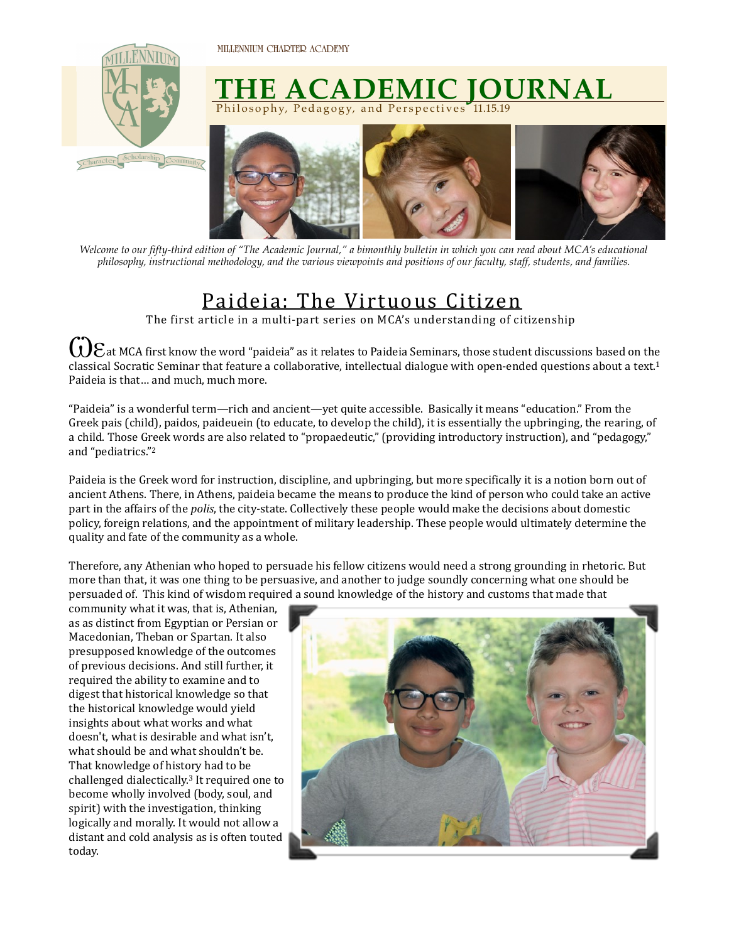

## **THE ACADEMIC JOURNAL** Philosophy, Pedagogy, and Perspectives 11.15.19



*Welcome to our fifty-third edition of "The Academic Journal," a bimonthly bulletin in which you can read about MCA's educational philosophy, instructional methodology, and the various viewpoints and positions of our faculty, staff, students, and families.* 

## Paideia: The Virtuous Citizen

The first article in a multi-part series on MCA's understanding of citizenship

*①Eat MCA first know the word "paideia" as it relates to Paideia Seminars, those student discussions based on the* classical Socratic Seminar that feature a collaborative, intellectual dialogue with open-ended questions about a text.<sup>1</sup> Paideia is that... and much, much more.

"Paideia" is a wonderful term—rich and ancient—yet quite accessible. Basically it means "education." From the Greek pais (child), paidos, paideuein (to educate, to develop the child), it is essentially the upbringing, the rearing, of a child. Those Greek words are also related to "propaedeutic," (providing introductory instruction), and "pedagogy," and "pediatrics."<sup>2</sup>

Paideia is the Greek word for instruction, discipline, and upbringing, but more specifically it is a notion born out of ancient Athens. There, in Athens, paideia became the means to produce the kind of person who could take an active part in the affairs of the *polis*, the city-state. Collectively these people would make the decisions about domestic policy, foreign relations, and the appointment of military leadership. These people would ultimately determine the quality and fate of the community as a whole.

Therefore, any Athenian who hoped to persuade his fellow citizens would need a strong grounding in rhetoric. But more than that, it was one thing to be persuasive, and another to judge soundly concerning what one should be persuaded of. This kind of wisdom required a sound knowledge of the history and customs that made that

community what it was, that is, Athenian, as as distinct from Egyptian or Persian or Macedonian, Theban or Spartan. It also presupposed knowledge of the outcomes of previous decisions. And still further, it required the ability to examine and to digest that historical knowledge so that the historical knowledge would yield insights about what works and what doesn't, what is desirable and what isn't, what should be and what shouldn't be. That knowledge of history had to be challenged dialectically.<sup>3</sup> It required one to become wholly involved (body, soul, and spirit) with the investigation, thinking logically and morally. It would not allow a distant and cold analysis as is often touted today.